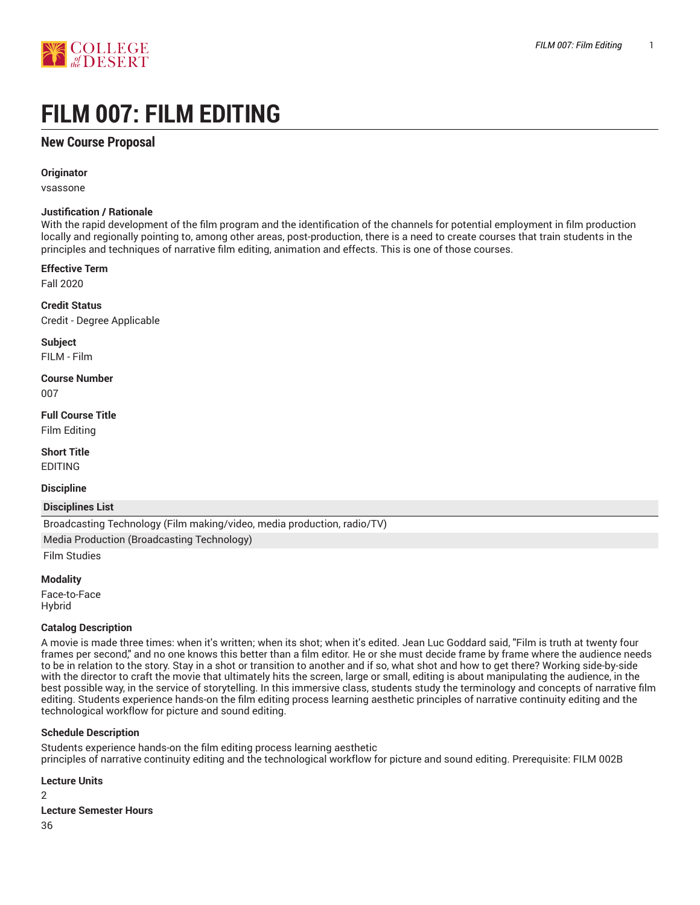

# **FILM 007: FILM EDITING**

# **New Course Proposal**

**Originator**

vsassone

### **Justification / Rationale**

With the rapid development of the film program and the identification of the channels for potential employment in film production locally and regionally pointing to, among other areas, post-production, there is a need to create courses that train students in the principles and techniques of narrative film editing, animation and effects. This is one of those courses.

### **Effective Term**

Fall 2020

**Credit Status** Credit - Degree Applicable

**Subject** FILM - Film

**Course Number** 007

**Full Course Title** Film Editing

**Short Title** EDITING

**Discipline**

**Disciplines List**

Broadcasting Technology (Film making/video, media production, radio/TV)

Media Production (Broadcasting Technology)

Film Studies

### **Modality**

Face-to-Face Hybrid

### **Catalog Description**

A movie is made three times: when it's written; when its shot; when it's edited. Jean Luc Goddard said, "Film is truth at twenty four frames per second," and no one knows this better than a film editor. He or she must decide frame by frame where the audience needs to be in relation to the story. Stay in a shot or transition to another and if so, what shot and how to get there? Working side-by-side with the director to craft the movie that ultimately hits the screen, large or small, editing is about manipulating the audience, in the best possible way, in the service of storytelling. In this immersive class, students study the terminology and concepts of narrative film editing. Students experience hands-on the film editing process learning aesthetic principles of narrative continuity editing and the technological workflow for picture and sound editing.

### **Schedule Description**

Students experience hands-on the film editing process learning aesthetic principles of narrative continuity editing and the technological workflow for picture and sound editing. Prerequisite: FILM 002B

### **Lecture Units**

2

**Lecture Semester Hours**

36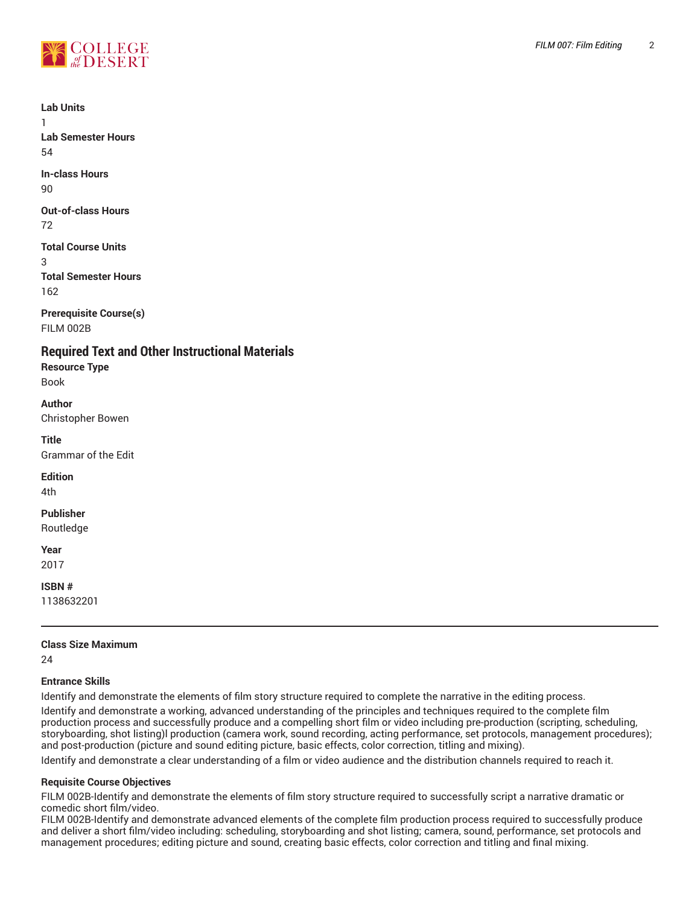

**Lab Units**

1 **Lab Semester Hours** 54

**In-class Hours** 90

**Out-of-class Hours** 72

**Total Course Units** 3 **Total Semester Hours** 162

**Prerequisite Course(s)** FILM 002B

**Required Text and Other Instructional Materials**

**Resource Type** Book

**Author** Christopher Bowen

**Title** Grammar of the Edit

**Edition**

4th

## **Publisher**

Routledge

**Year** 2017

**ISBN #**

1138632201

# **Class Size Maximum**

24

## **Entrance Skills**

Identify and demonstrate the elements of film story structure required to complete the narrative in the editing process.

Identify and demonstrate a working, advanced understanding of the principles and techniques required to the complete film production process and successfully produce and a compelling short film or video including pre-production (scripting, scheduling, storyboarding, shot listing)l production (camera work, sound recording, acting performance, set protocols, management procedures); and post-production (picture and sound editing picture, basic effects, color correction, titling and mixing).

Identify and demonstrate a clear understanding of a film or video audience and the distribution channels required to reach it.

## **Requisite Course Objectives**

FILM 002B-Identify and demonstrate the elements of film story structure required to successfully script a narrative dramatic or comedic short film/video.

FILM 002B-Identify and demonstrate advanced elements of the complete film production process required to successfully produce and deliver a short film/video including: scheduling, storyboarding and shot listing; camera, sound, performance, set protocols and management procedures; editing picture and sound, creating basic effects, color correction and titling and final mixing.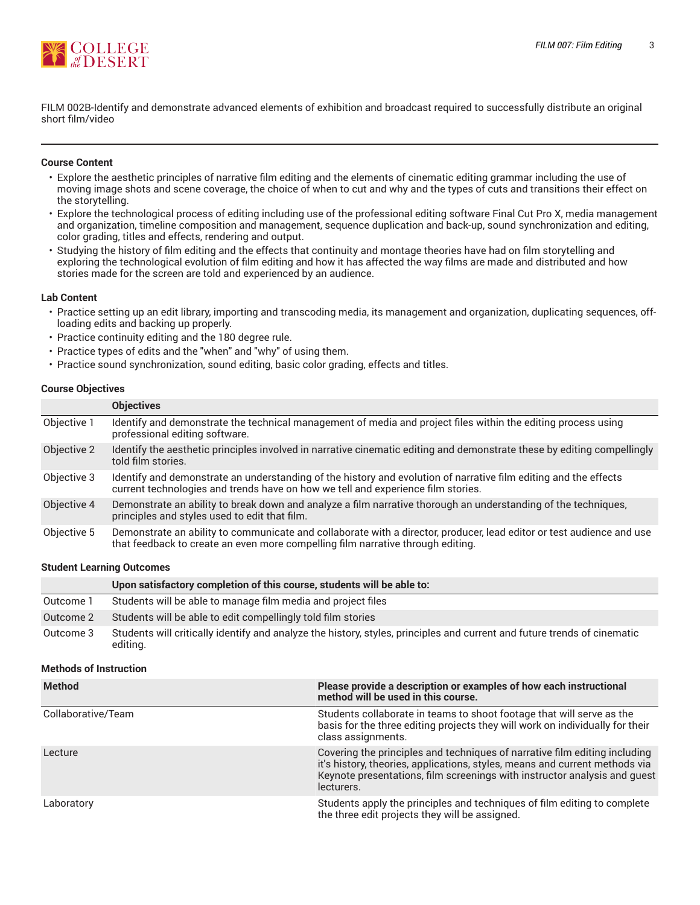

FILM 002B-Identify and demonstrate advanced elements of exhibition and broadcast required to successfully distribute an original short film/video

#### **Course Content**

- Explore the aesthetic principles of narrative film editing and the elements of cinematic editing grammar including the use of moving image shots and scene coverage, the choice of when to cut and why and the types of cuts and transitions their effect on the storytelling.
- Explore the technological process of editing including use of the professional editing software Final Cut Pro X, media management and organization, timeline composition and management, sequence duplication and back-up, sound synchronization and editing, color grading, titles and effects, rendering and output.
- Studying the history of film editing and the effects that continuity and montage theories have had on film storytelling and exploring the technological evolution of film editing and how it has affected the way films are made and distributed and how stories made for the screen are told and experienced by an audience.

#### **Lab Content**

- Practice setting up an edit library, importing and transcoding media, its management and organization, duplicating sequences, offloading edits and backing up properly.
- Practice continuity editing and the 180 degree rule.
- Practice types of edits and the "when" and "why" of using them.
- Practice sound synchronization, sound editing, basic color grading, effects and titles.

#### **Course Objectives**

|             | <b>Objectives</b>                                                                                                                                                                                        |
|-------------|----------------------------------------------------------------------------------------------------------------------------------------------------------------------------------------------------------|
| Objective 1 | Identify and demonstrate the technical management of media and project files within the editing process using<br>professional editing software.                                                          |
| Objective 2 | Identify the aesthetic principles involved in narrative cinematic editing and demonstrate these by editing compellingly<br>told film stories.                                                            |
| Objective 3 | Identify and demonstrate an understanding of the history and evolution of narrative film editing and the effects<br>current technologies and trends have on how we tell and experience film stories.     |
| Objective 4 | Demonstrate an ability to break down and analyze a film narrative thorough an understanding of the techniques,<br>principles and styles used to edit that film.                                          |
| Objective 5 | Demonstrate an ability to communicate and collaborate with a director, producer, lead editor or test audience and use<br>that feedback to create an even more compelling film narrative through editing. |

#### **Student Learning Outcomes**

|           | Upon satisfactory completion of this course, students will be able to:                                                               |
|-----------|--------------------------------------------------------------------------------------------------------------------------------------|
| Outcome 1 | Students will be able to manage film media and project files                                                                         |
| Outcome 2 | Students will be able to edit compellingly told film stories                                                                         |
| Outcome 3 | Students will critically identify and analyze the history, styles, principles and current and future trends of cinematic<br>editing. |

#### **Methods of Instruction**

| <b>Method</b>      | Please provide a description or examples of how each instructional<br>method will be used in this course.                                                                                                                                            |
|--------------------|------------------------------------------------------------------------------------------------------------------------------------------------------------------------------------------------------------------------------------------------------|
| Collaborative/Team | Students collaborate in teams to shoot footage that will serve as the<br>basis for the three editing projects they will work on individually for their<br>class assignments.                                                                         |
| Lecture            | Covering the principles and techniques of narrative film editing including<br>it's history, theories, applications, styles, means and current methods via<br>Keynote presentations, film screenings with instructor analysis and quest<br>lecturers. |
| Laboratory         | Students apply the principles and techniques of film editing to complete<br>the three edit projects they will be assigned.                                                                                                                           |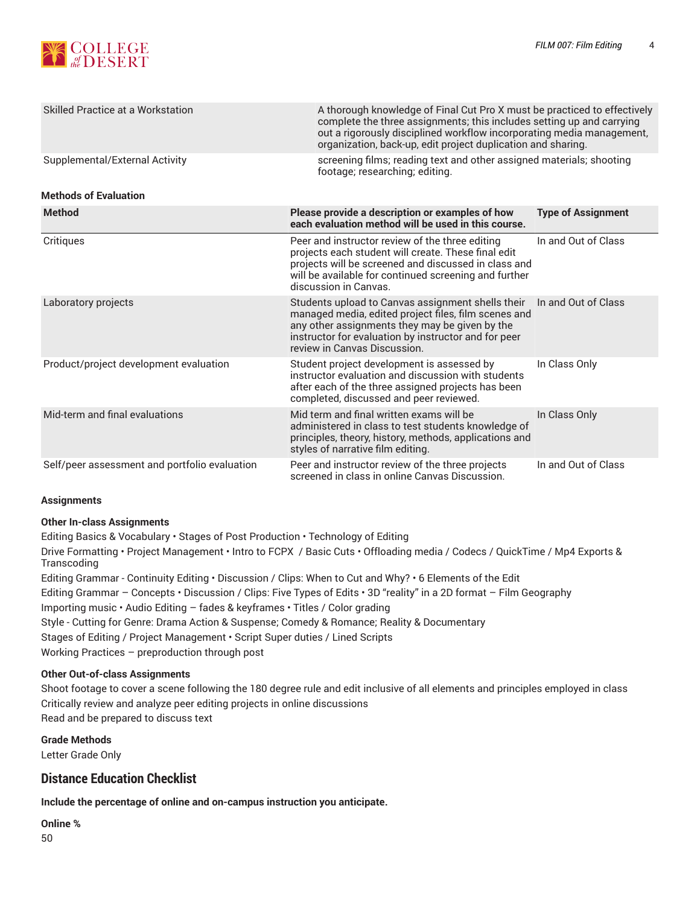

| Skilled Practice at a Workstation             | A thorough knowledge of Final Cut Pro X must be practiced to effectively<br>complete the three assignments; this includes setting up and carrying<br>out a rigorously disciplined workflow incorporating media management,<br>organization, back-up, edit project duplication and sharing. |                           |  |
|-----------------------------------------------|--------------------------------------------------------------------------------------------------------------------------------------------------------------------------------------------------------------------------------------------------------------------------------------------|---------------------------|--|
| Supplemental/External Activity                | screening films; reading text and other assigned materials; shooting<br>footage; researching; editing.                                                                                                                                                                                     |                           |  |
| <b>Methods of Evaluation</b>                  |                                                                                                                                                                                                                                                                                            |                           |  |
| <b>Method</b>                                 | Please provide a description or examples of how<br>each evaluation method will be used in this course.                                                                                                                                                                                     | <b>Type of Assignment</b> |  |
| Critiques                                     | Peer and instructor review of the three editing<br>projects each student will create. These final edit<br>projects will be screened and discussed in class and<br>will be available for continued screening and further<br>discussion in Canvas.                                           | In and Out of Class       |  |
| Laboratory projects                           | Students upload to Canvas assignment shells their<br>managed media, edited project files, film scenes and<br>any other assignments they may be given by the<br>instructor for evaluation by instructor and for peer<br>review in Canvas Discussion.                                        | In and Out of Class       |  |
| Product/project development evaluation        | Student project development is assessed by<br>instructor evaluation and discussion with students<br>after each of the three assigned projects has been<br>completed, discussed and peer reviewed.                                                                                          | In Class Only             |  |
| Mid-term and final evaluations                | Mid term and final written exams will be<br>administered in class to test students knowledge of<br>principles, theory, history, methods, applications and<br>styles of narrative film editing.                                                                                             | In Class Only             |  |
| Self/peer assessment and portfolio evaluation | Peer and instructor review of the three projects<br>screened in class in online Canvas Discussion.                                                                                                                                                                                         | In and Out of Class       |  |

## **Assignments**

## **Other In-class Assignments**

Editing Basics & Vocabulary • Stages of Post Production • Technology of Editing Drive Formatting • Project Management • Intro to FCPX / Basic Cuts • Offloading media / Codecs / QuickTime / Mp4 Exports & **Transcoding** Editing Grammar - Continuity Editing • Discussion / Clips: When to Cut and Why? • 6 Elements of the Edit Editing Grammar – Concepts • Discussion / Clips: Five Types of Edits • 3D "reality" in a 2D format – Film Geography Importing music • Audio Editing – fades & keyframes • Titles / Color grading Style - Cutting for Genre: Drama Action & Suspense; Comedy & Romance; Reality & Documentary Stages of Editing / Project Management • Script Super duties / Lined Scripts Working Practices – preproduction through post

### **Other Out-of-class Assignments**

Shoot footage to cover a scene following the 180 degree rule and edit inclusive of all elements and principles employed in class Critically review and analyze peer editing projects in online discussions Read and be prepared to discuss text

**Grade Methods** Letter Grade Only

# **Distance Education Checklist**

**Include the percentage of online and on-campus instruction you anticipate.**

**Online %**

50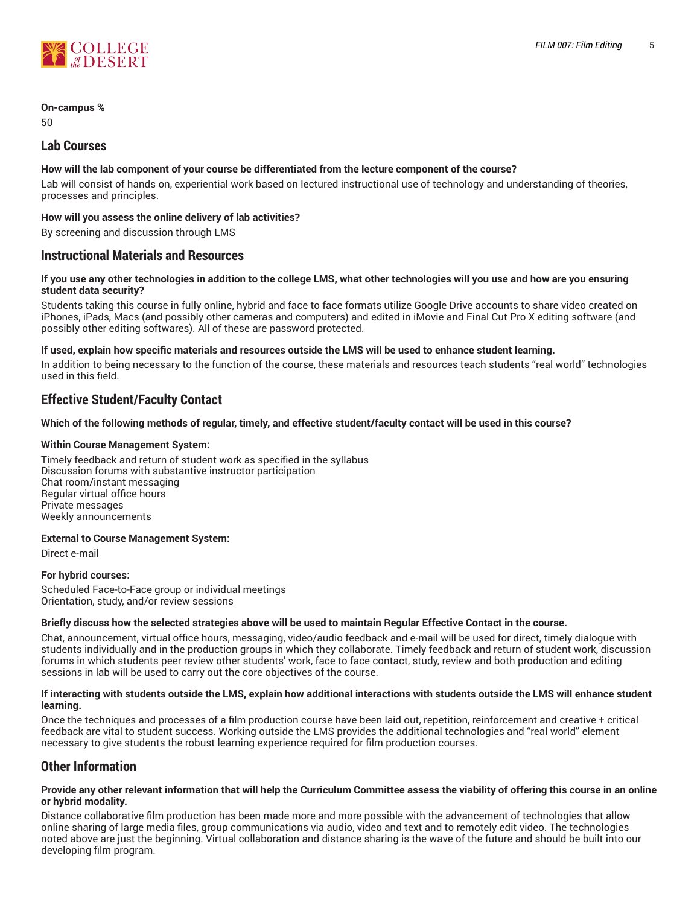

# **On-campus %**

50

# **Lab Courses**

# **How will the lab component of your course be differentiated from the lecture component of the course?**

Lab will consist of hands on, experiential work based on lectured instructional use of technology and understanding of theories, processes and principles.

# **How will you assess the online delivery of lab activities?**

By screening and discussion through LMS

# **Instructional Materials and Resources**

### If you use any other technologies in addition to the college LMS, what other technologies will you use and how are you ensuring **student data security?**

Students taking this course in fully online, hybrid and face to face formats utilize Google Drive accounts to share video created on iPhones, iPads, Macs (and possibly other cameras and computers) and edited in iMovie and Final Cut Pro X editing software (and possibly other editing softwares). All of these are password protected.

### **If used, explain how specific materials and resources outside the LMS will be used to enhance student learning.**

In addition to being necessary to the function of the course, these materials and resources teach students "real world" technologies used in this field.

# **Effective Student/Faculty Contact**

## Which of the following methods of regular, timely, and effective student/faculty contact will be used in this course?

## **Within Course Management System:**

Timely feedback and return of student work as specified in the syllabus Discussion forums with substantive instructor participation Chat room/instant messaging Regular virtual office hours Private messages Weekly announcements

### **External to Course Management System:**

Direct e-mail

### **For hybrid courses:**

Scheduled Face-to-Face group or individual meetings Orientation, study, and/or review sessions

### Briefly discuss how the selected strategies above will be used to maintain Regular Effective Contact in the course.

Chat, announcement, virtual office hours, messaging, video/audio feedback and e-mail will be used for direct, timely dialogue with students individually and in the production groups in which they collaborate. Timely feedback and return of student work, discussion forums in which students peer review other students' work, face to face contact, study, review and both production and editing sessions in lab will be used to carry out the core objectives of the course.

#### **If interacting with students outside the LMS, explain how additional interactions with students outside the LMS will enhance student learning.**

Once the techniques and processes of a film production course have been laid out, repetition, reinforcement and creative + critical feedback are vital to student success. Working outside the LMS provides the additional technologies and "real world" element necessary to give students the robust learning experience required for film production courses.

# **Other Information**

#### Provide any other relevant information that will help the Curriculum Committee assess the viability of offering this course in an online **or hybrid modality.**

Distance collaborative film production has been made more and more possible with the advancement of technologies that allow online sharing of large media files, group communications via audio, video and text and to remotely edit video. The technologies noted above are just the beginning. Virtual collaboration and distance sharing is the wave of the future and should be built into our developing film program.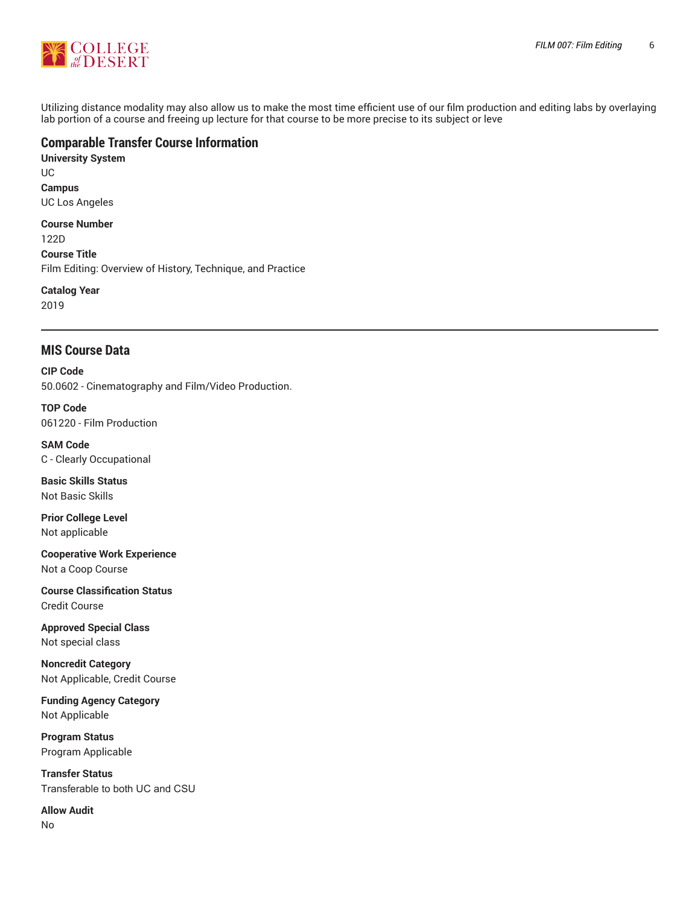

Utilizing distance modality may also allow us to make the most time efficient use of our film production and editing labs by overlaying lab portion of a course and freeing up lecture for that course to be more precise to its subject or leve

# **Comparable Transfer Course Information**

**University System** UC **Campus** UC Los Angeles **Course Number** 122D **Course Title**

Film Editing: Overview of History, Technique, and Practice

**Catalog Year** 2019

# **MIS Course Data**

**CIP Code** 50.0602 - Cinematography and Film/Video Production.

**TOP Code** 061220 - Film Production

**SAM Code** C - Clearly Occupational

**Basic Skills Status** Not Basic Skills

**Prior College Level** Not applicable

**Cooperative Work Experience** Not a Coop Course

**Course Classification Status** Credit Course

**Approved Special Class** Not special class

**Noncredit Category** Not Applicable, Credit Course

**Funding Agency Category** Not Applicable

**Program Status** Program Applicable

**Transfer Status** Transferable to both UC and CSU

**Allow Audit** No